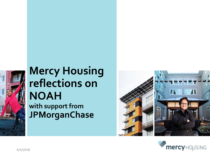

# **Mercy Housing reflections on NOAH with support from JPMorganChase**



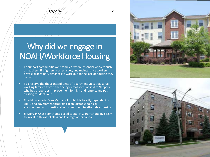#### *4/4/2018 2*

## Why did we engage in NOAH/Workforce Housing

- To support communities and families where essential workers such as teachers, firefighters, nurses aides, and maintenance workers drive extraordinary distances to work due to the lack of housing they can afford
- To preserve the thousands of units of apartment units that serve working families from either being demolished, or sold to 'flippers' who buy properties, improve them for high end renters, and push existing residents out.
- To add balance to Mercy's portfolio which is heavily dependent on LIHTC and government programs in an unstable political environment with questionable commitment to affordable housing.
- JP Morgan Chase contributed seed capital in 2 grants totaling \$3.5M to invest in this asset class and leverage other capital.



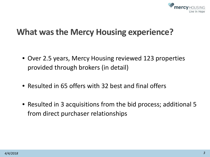

### **What was the Mercy Housing experience?**

- Over 2.5 years, Mercy Housing reviewed 123 properties provided through brokers (in detail)
- Resulted in 65 offers with 32 best and final offers
- Resulted in 3 acquisitions from the bid process; additional 5 from direct purchaser relationships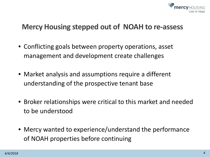

#### **Mercy Housing stepped out of NOAH to re-assess**

- Conflicting goals between property operations, asset management and development create challenges
- Market analysis and assumptions require a different understanding of the prospective tenant base
- Broker relationships were critical to this market and needed to be understood
- Mercy wanted to experience/understand the performance of NOAH properties before continuing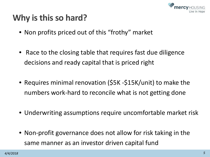

## **Why is this so hard?**

- Non profits priced out of this "frothy" market
- Race to the closing table that requires fast due diligence decisions and ready capital that is priced right
- Requires minimal renovation (\$5K -\$15K/unit) to make the numbers work-hard to reconcile what is not getting done
- Underwriting assumptions require uncomfortable market risk
- Non-profit governance does not allow for risk taking in the same manner as an investor driven capital fund